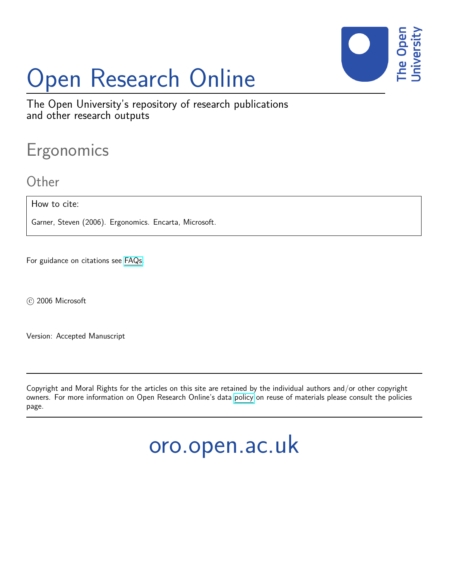

# Open Research Online

The Open University's repository of research publications and other research outputs

# Ergonomics

## **Other**

How to cite:

Garner, Steven (2006). Ergonomics. Encarta, Microsoft.

For guidance on citations see [FAQs.](http://oro.open.ac.uk/help/helpfaq.html)

c 2006 Microsoft

Version: Accepted Manuscript

Copyright and Moral Rights for the articles on this site are retained by the individual authors and/or other copyright owners. For more information on Open Research Online's data [policy](http://oro.open.ac.uk/policies.html) on reuse of materials please consult the policies page.

oro.open.ac.uk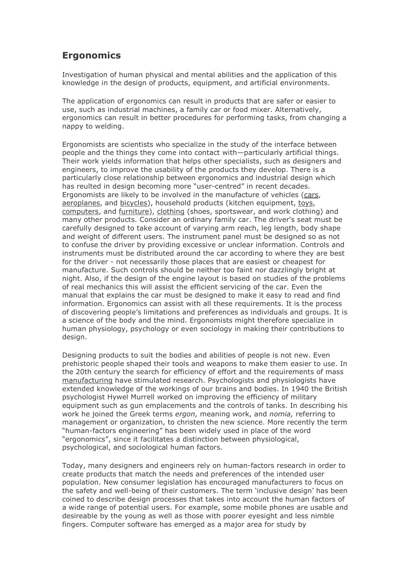## **Ergonomics**

Investigation of human physical and mental abilities and the application of this knowledge in the design of products, equipment, and artificial environments.

The application of ergonomics can result in products that are safer or easier to use, such as industrial machines, a family car or food mixer. Alternatively, ergonomics can result in better procedures for performing tasks, from changing a nappy to welding.

Ergonomists are scientists who specialize in the study of the interface between people and the things they come into contact with—particularly artificial things. Their work yields information that helps other specialists, such as designers and engineers, to improve the usability of the products they develop. There is a particularly close relationship between ergonomics and industrial design which has reulted in design becoming more "user-centred" in recent decades. Ergonomists are likely to be involved in the manufacture of vehicles (cars, aeroplanes, and bicycles), household products (kitchen equipment, toys, computers, and furniture), clothing (shoes, sportswear, and work clothing) and many other products. Consider an ordinary family car. The driver's seat must be carefully designed to take account of varying arm reach, leg length, body shape and weight of different users. The instrument panel must be designed so as not to confuse the driver by providing excessive or unclear information. Controls and instruments must be distributed around the car according to where they are best for the driver - not necessarily those places that are easiest or cheapest for manufacture. Such controls should be neither too faint nor dazzlingly bright at night. Also, if the design of the engine layout is based on studies of the problems of real mechanics this will assist the efficient servicing of the car. Even the manual that explains the car must be designed to make it easy to read and find information. Ergonomics can assist with all these requirements. It is the process of discovering people's limitations and preferences as individuals and groups. It is a science of the body and the mind. Ergonomists might therefore specialize in human physiology, psychology or even sociology in making their contributions to design.

Designing products to suit the bodies and abilities of people is not new. Even prehistoric people shaped their tools and weapons to make them easier to use. In the 20th century the search for efficiency of effort and the requirements of mass manufacturing have stimulated research. Psychologists and physiologists have extended knowledge of the workings of our brains and bodies. In 1940 the British psychologist Hywel Murrell worked on improving the efficiency of military equipment such as gun emplacements and the controls of tanks. In describing his work he joined the Greek terms ergon, meaning work, and nomia, referring to management or organization, to christen the new science. More recently the term "human-factors engineering" has been widely used in place of the word "ergonomics", since it facilitates a distinction between physiological, psychological, and sociological human factors.

Today, many designers and engineers rely on human-factors research in order to create products that match the needs and preferences of the intended user population. New consumer legislation has encouraged manufacturers to focus on the safety and well-being of their customers. The term 'inclusive design' has been coined to describe design processes that takes into account the human factors of a wide range of potential users. For example, some mobile phones are usable and desireable by the young as well as those with poorer eyesight and less nimble fingers. Computer software has emerged as a major area for study by